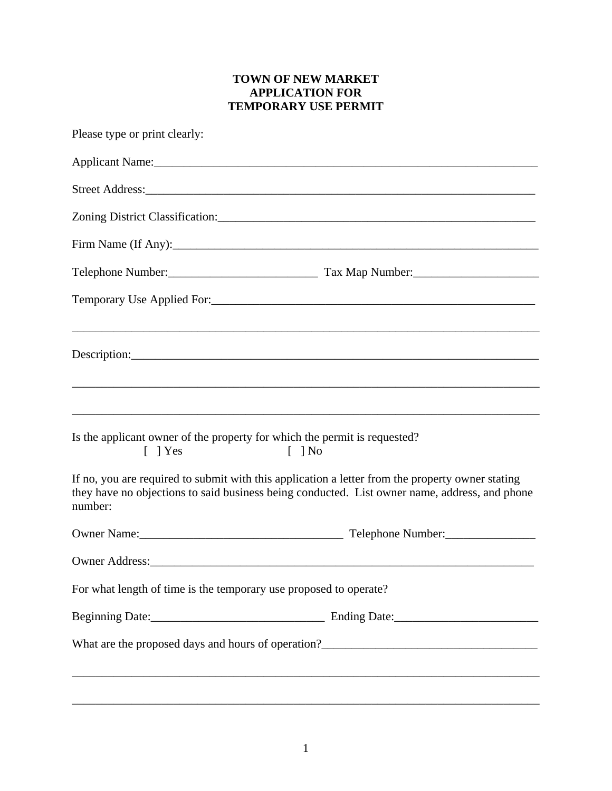## **TOWN OF NEW MARKET APPLICATION FOR TEMPORARY USE PERMIT**

| Please type or print clearly:                                                          |                                                                                                                                                                                                   |
|----------------------------------------------------------------------------------------|---------------------------------------------------------------------------------------------------------------------------------------------------------------------------------------------------|
|                                                                                        |                                                                                                                                                                                                   |
|                                                                                        |                                                                                                                                                                                                   |
|                                                                                        |                                                                                                                                                                                                   |
|                                                                                        | Firm Name (If Any):                                                                                                                                                                               |
|                                                                                        |                                                                                                                                                                                                   |
|                                                                                        |                                                                                                                                                                                                   |
|                                                                                        |                                                                                                                                                                                                   |
| Is the applicant owner of the property for which the permit is requested?<br>$[$   Yes | $[$ $]$ No                                                                                                                                                                                        |
| number:                                                                                | If no, you are required to submit with this application a letter from the property owner stating<br>they have no objections to said business being conducted. List owner name, address, and phone |
|                                                                                        |                                                                                                                                                                                                   |
|                                                                                        |                                                                                                                                                                                                   |
| For what length of time is the temporary use proposed to operate?                      |                                                                                                                                                                                                   |
|                                                                                        |                                                                                                                                                                                                   |
|                                                                                        |                                                                                                                                                                                                   |
|                                                                                        |                                                                                                                                                                                                   |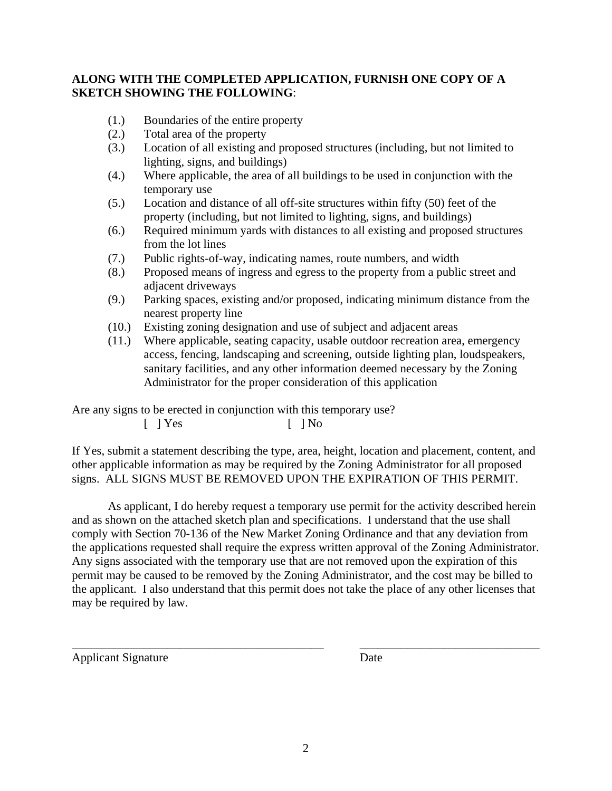## **ALONG WITH THE COMPLETED APPLICATION, FURNISH ONE COPY OF A SKETCH SHOWING THE FOLLOWING**:

- (1.) Boundaries of the entire property
- (2.) Total area of the property
- (3.) Location of all existing and proposed structures (including, but not limited to lighting, signs, and buildings)
- (4.) Where applicable, the area of all buildings to be used in conjunction with the temporary use
- (5.) Location and distance of all off-site structures within fifty (50) feet of the property (including, but not limited to lighting, signs, and buildings)
- (6.) Required minimum yards with distances to all existing and proposed structures from the lot lines
- (7.) Public rights-of-way, indicating names, route numbers, and width
- (8.) Proposed means of ingress and egress to the property from a public street and adjacent driveways
- (9.) Parking spaces, existing and/or proposed, indicating minimum distance from the nearest property line
- (10.) Existing zoning designation and use of subject and adjacent areas
- (11.) Where applicable, seating capacity, usable outdoor recreation area, emergency access, fencing, landscaping and screening, outside lighting plan, loudspeakers, sanitary facilities, and any other information deemed necessary by the Zoning Administrator for the proper consideration of this application

Are any signs to be erected in conjunction with this temporary use?

 $[ ]$   $Yes$   $[ ]$   $No$ 

If Yes, submit a statement describing the type, area, height, location and placement, content, and other applicable information as may be required by the Zoning Administrator for all proposed signs. ALL SIGNS MUST BE REMOVED UPON THE EXPIRATION OF THIS PERMIT.

As applicant, I do hereby request a temporary use permit for the activity described herein and as shown on the attached sketch plan and specifications. I understand that the use shall comply with Section 70-136 of the New Market Zoning Ordinance and that any deviation from the applications requested shall require the express written approval of the Zoning Administrator. Any signs associated with the temporary use that are not removed upon the expiration of this permit may be caused to be removed by the Zoning Administrator, and the cost may be billed to the applicant. I also understand that this permit does not take the place of any other licenses that may be required by law.

\_\_\_\_\_\_\_\_\_\_\_\_\_\_\_\_\_\_\_\_\_\_\_\_\_\_\_\_\_\_\_\_\_\_\_\_\_\_\_\_\_\_ \_\_\_\_\_\_\_\_\_\_\_\_\_\_\_\_\_\_\_\_\_\_\_\_\_\_\_\_\_\_

Applicant Signature Date